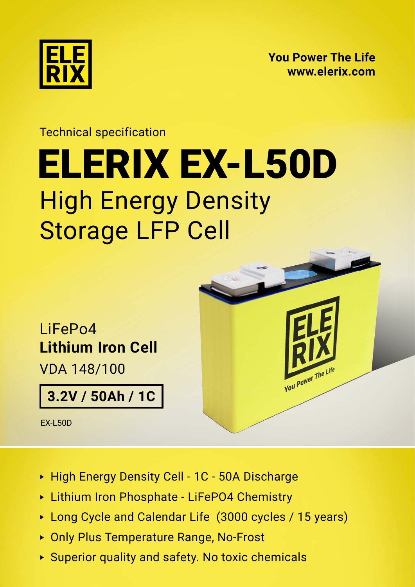

**[You Power The Life](https://elerix.com) [www.elerix.com](https://elerix.com)**

You Power The Life

## Technical specification High Energy Density Storage LFP [Cell](https://shop.gwl.eu/_d7878.html) [ELERIX EX-L50D](https://shop.gwl.eu/_d7878.html)

LiFePo4 **Lithium Iron Cell**

VDA 148/100

**3.2V / 50Ah / 1C**

EX-L50D

- ► High Energy Density Cell 1C 50A Discharge
- ► Lithium Iron Phosphate LiFePO4 Chemistry
- ► Long Cycle and Calendar Life (3000 cycles / 15 years)
- ► Only Plus Temperature Range, No-Frost
- ► Superior quality and safety. No toxic chemicals